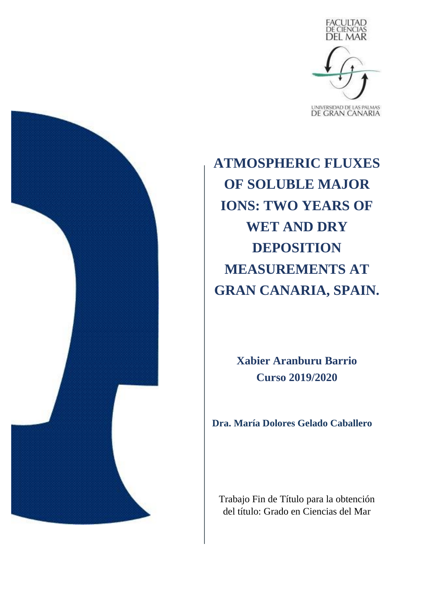

**ATMOSPHERIC FLUXES OF SOLUBLE MAJOR IONS: TWO YEARS OF WET AND DRY DEPOSITION MEASUREMENTS AT GRAN CANARIA, SPAIN.**

> **Xabier Aranburu Barrio Curso 2019/2020**

**Dra. María Dolores Gelado Caballero**

Trabajo Fin de Título para la obtención del título: Grado en Ciencias del Mar

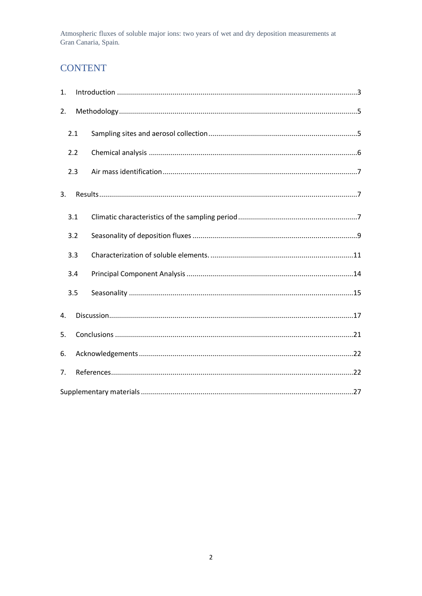# **CONTENT**

| 1. |     |  |  |  |  |  |  |  |  |  |  |
|----|-----|--|--|--|--|--|--|--|--|--|--|
| 2. |     |  |  |  |  |  |  |  |  |  |  |
|    | 2.1 |  |  |  |  |  |  |  |  |  |  |
|    | 2.2 |  |  |  |  |  |  |  |  |  |  |
|    | 2.3 |  |  |  |  |  |  |  |  |  |  |
| 3. |     |  |  |  |  |  |  |  |  |  |  |
|    | 3.1 |  |  |  |  |  |  |  |  |  |  |
|    | 3.2 |  |  |  |  |  |  |  |  |  |  |
|    | 3.3 |  |  |  |  |  |  |  |  |  |  |
|    | 3.4 |  |  |  |  |  |  |  |  |  |  |
|    | 3.5 |  |  |  |  |  |  |  |  |  |  |
| 4. |     |  |  |  |  |  |  |  |  |  |  |
| 5. |     |  |  |  |  |  |  |  |  |  |  |
| 6. |     |  |  |  |  |  |  |  |  |  |  |
| 7. |     |  |  |  |  |  |  |  |  |  |  |
|    |     |  |  |  |  |  |  |  |  |  |  |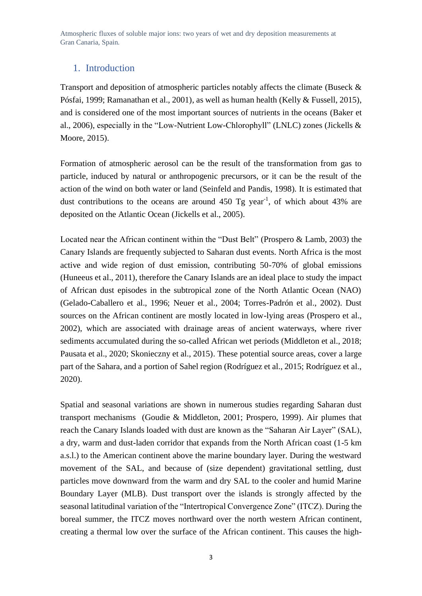## <span id="page-2-0"></span>1. Introduction

Transport and deposition of atmospheric particles notably affects the climate (Buseck & Pósfai, 1999; Ramanathan et al., 2001), as well as human health (Kelly & Fussell, 2015), and is considered one of the most important sources of nutrients in the oceans (Baker et al., 2006), especially in the "Low-Nutrient Low-Chlorophyll" (LNLC) zones (Jickells & Moore, 2015).

Formation of atmospheric aerosol can be the result of the transformation from gas to particle, induced by natural or anthropogenic precursors, or it can be the result of the action of the wind on both water or land (Seinfeld and Pandis, 1998)*.* It is estimated that dust contributions to the oceans are around  $450$  Tg year<sup>-1</sup>, of which about  $43\%$  are deposited on the Atlantic Ocean (Jickells et al., 2005).

Located near the African continent within the "Dust Belt" (Prospero & Lamb, 2003) the Canary Islands are frequently subjected to Saharan dust events. North Africa is the most active and wide region of dust emission, contributing 50-70% of global emissions (Huneeus et al., 2011), therefore the Canary Islands are an ideal place to study the impact of African dust episodes in the subtropical zone of the North Atlantic Ocean (NAO) (Gelado-Caballero et al., 1996; Neuer et al., 2004; Torres-Padrón et al., 2002). Dust sources on the African continent are mostly located in low-lying areas (Prospero et al., 2002), which are associated with drainage areas of ancient waterways, where river sediments accumulated during the so-called African wet periods (Middleton et al., 2018; Pausata et al., 2020; Skonieczny et al., 2015). These potential source areas, cover a large part of the Sahara, and a portion of Sahel region (Rodríguez et al., 2015; Rodríguez et al., 2020).

Spatial and seasonal variations are shown in numerous studies regarding Saharan dust transport mechanisms (Goudie & Middleton, 2001; Prospero, 1999). Air plumes that reach the Canary Islands loaded with dust are known as the "Saharan Air Layer" (SAL), a dry, warm and dust-laden corridor that expands from the North African coast (1-5 km a.s.l.) to the American continent above the marine boundary layer. During the westward movement of the SAL, and because of (size dependent) gravitational settling, dust particles move downward from the warm and dry SAL to the cooler and humid Marine Boundary Layer (MLB). Dust transport over the islands is strongly affected by the seasonal latitudinal variation of the "Intertropical Convergence Zone" (ITCZ). During the boreal summer, the ITCZ moves northward over the north western African continent, creating a thermal low over the surface of the African continent. This causes the high-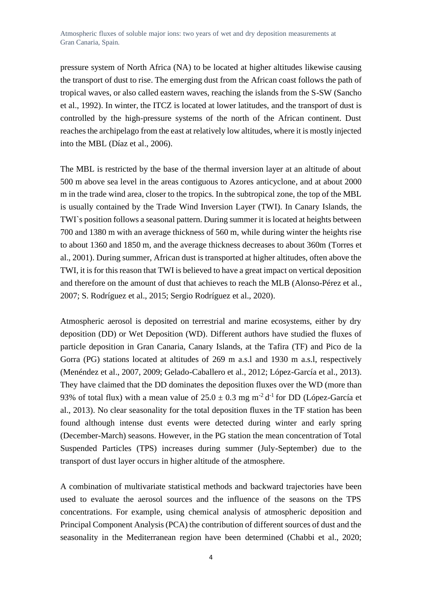pressure system of North Africa (NA) to be located at higher altitudes likewise causing the transport of dust to rise. The emerging dust from the African coast follows the path of tropical waves, or also called eastern waves, reaching the islands from the S-SW (Sancho et al., 1992). In winter, the ITCZ is located at lower latitudes, and the transport of dust is controlled by the high-pressure systems of the north of the African continent. Dust reaches the archipelago from the east at relatively low altitudes, where it is mostly injected into the MBL (Díaz et al., 2006).

The MBL is restricted by the base of the thermal inversion layer at an altitude of about 500 m above sea level in the areas contiguous to Azores anticyclone, and at about 2000 m in the trade wind area, closer to the tropics. In the subtropical zone, the top of the MBL is usually contained by the Trade Wind Inversion Layer (TWI). In Canary Islands, the TWI`s position follows a seasonal pattern. During summer it is located at heights between 700 and 1380 m with an average thickness of 560 m, while during winter the heights rise to about 1360 and 1850 m, and the average thickness decreases to about 360m (Torres et al., 2001). During summer, African dust is transported at higher altitudes, often above the TWI, it is for this reason that TWI is believed to have a great impact on vertical deposition and therefore on the amount of dust that achieves to reach the MLB (Alonso-Pérez et al., 2007; S. Rodríguez et al., 2015; Sergio Rodríguez et al., 2020).

Atmospheric aerosol is deposited on terrestrial and marine ecosystems, either by dry deposition (DD) or Wet Deposition (WD). Different authors have studied the fluxes of particle deposition in Gran Canaria, Canary Islands, at the Tafira (TF) and Pico de la Gorra (PG) stations located at altitudes of 269 m a.s.l and 1930 m a.s.l, respectively (Menéndez et al., 2007, 2009; Gelado-Caballero et al., 2012; López-García et al., 2013). They have claimed that the DD dominates the deposition fluxes over the WD (more than 93% of total flux) with a mean value of  $25.0 \pm 0.3$  mg m<sup>-2</sup> d<sup>-1</sup> for DD (López-García et al., 2013). No clear seasonality for the total deposition fluxes in the TF station has been found although intense dust events were detected during winter and early spring (December-March) seasons. However, in the PG station the mean concentration of Total Suspended Particles (TPS) increases during summer (July-September) due to the transport of dust layer occurs in higher altitude of the atmosphere.

A combination of multivariate statistical methods and backward trajectories have been used to evaluate the aerosol sources and the influence of the seasons on the TPS concentrations. For example, using chemical analysis of atmospheric deposition and Principal Component Analysis (PCA) the contribution of different sources of dust and the seasonality in the Mediterranean region have been determined (Chabbi et al., 2020;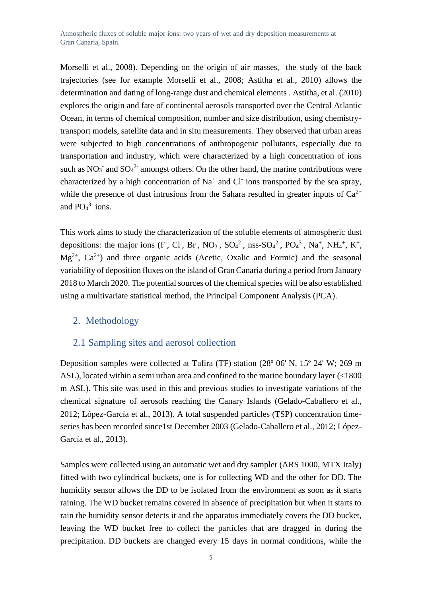Morselli et al., 2008). Depending on the origin of air masses, the study of the back trajectories (see for example Morselli et al., 2008; Astitha et al., 2010) allows the determination and dating of long-range dust and chemical elements . Astitha, et al. (2010) explores the origin and fate of continental aerosols transported over the Central Atlantic Ocean, in terms of chemical composition, number and size distribution, using chemistrytransport models, satellite data and in situ measurements. They observed that urban areas were subjected to high concentrations of anthropogenic pollutants, especially due to transportation and industry, which were characterized by a high concentration of ions such as  $NO_3^-$  and  $SO_4^2$  amongst others. On the other hand, the marine contributions were characterized by a high concentration of  $Na<sup>+</sup>$  and Cl ions transported by the sea spray, while the presence of dust intrusions from the Sahara resulted in greater inputs of  $Ca^{2+}$ and  $PO<sub>4</sub><sup>3</sup>$  ions.

This work aims to study the characterization of the soluble elements of atmospheric dust depositions: the major ions (F, Cl, Br, NO<sub>3</sub>, SO<sub>4</sub><sup>2</sup>, nss-SO<sub>4</sub><sup>2</sup>, PO<sub>4</sub><sup>3</sup>, Na<sup>+</sup>, NH<sub>4</sub><sup>+</sup>, K<sup>+</sup>,  $Mg^{2+}$ ,  $Ca^{2+}$ ) and three organic acids (Acetic, Oxalic and Formic) and the seasonal variability of deposition fluxes on the island of Gran Canaria during a period from January 2018 to March 2020. The potential sources of the chemical species will be also established using a multivariate statistical method, the Principal Component Analysis (PCA).

#### <span id="page-4-0"></span>2. Methodology

#### <span id="page-4-1"></span>2.1 Sampling sites and aerosol collection

Deposition samples were collected at Tafira (TF) station (28º 06' N, 15º 24' W; 269 m ASL), located within a semi urban area and confined to the marine boundary layer (<1800 m ASL). This site was used in this and previous studies to investigate variations of the chemical signature of aerosols reaching the Canary Islands (Gelado-Caballero et al., 2012; López-García et al., 2013). A total suspended particles (TSP) concentration timeseries has been recorded since1st December 2003 (Gelado-Caballero et al., 2012; López-García et al., 2013).

Samples were collected using an automatic wet and dry sampler (ARS 1000, MTX Italy) fitted with two cylindrical buckets, one is for collecting WD and the other for DD. The humidity sensor allows the DD to be isolated from the environment as soon as it starts raining. The WD bucket remains covered in absence of precipitation but when it starts to rain the humidity sensor detects it and the apparatus immediately covers the DD bucket, leaving the WD bucket free to collect the particles that are dragged in during the precipitation. DD buckets are changed every 15 days in normal conditions, while the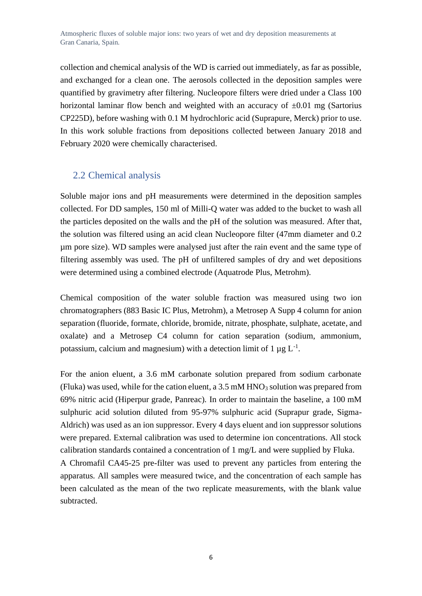collection and chemical analysis of the WD is carried out immediately, as far as possible, and exchanged for a clean one. The aerosols collected in the deposition samples were quantified by gravimetry after filtering. Nucleopore filters were dried under a Class 100 horizontal laminar flow bench and weighted with an accuracy of  $\pm 0.01$  mg (Sartorius CP225D), before washing with 0.1 M hydrochloric acid (Suprapure, Merck) prior to use. In this work soluble fractions from depositions collected between January 2018 and February 2020 were chemically characterised.

### <span id="page-5-0"></span>2.2 Chemical analysis

Soluble major ions and pH measurements were determined in the deposition samples collected. For DD samples, 150 ml of Milli-Q water was added to the bucket to wash all the particles deposited on the walls and the pH of the solution was measured. After that, the solution was filtered using an acid clean Nucleopore filter (47mm diameter and 0.2 µm pore size). WD samples were analysed just after the rain event and the same type of filtering assembly was used. The pH of unfiltered samples of dry and wet depositions were determined using a combined electrode (Aquatrode Plus, Metrohm).

Chemical composition of the water soluble fraction was measured using two ion chromatographers (883 Basic IC Plus, Metrohm), a Metrosep A Supp 4 column for anion separation (fluoride, formate, chloride, bromide, nitrate, phosphate, sulphate, acetate, and oxalate) and a Metrosep C4 column for cation separation (sodium, ammonium, potassium, calcium and magnesium) with a detection limit of 1  $\mu$ g L<sup>-1</sup>.

For the anion eluent, a 3.6 mM carbonate solution prepared from sodium carbonate (Fluka) was used, while for the cation eluent, a  $3.5 \text{ mM HNO}_3$  solution was prepared from 69% nitric acid (Hiperpur grade, Panreac). In order to maintain the baseline, a 100 mM sulphuric acid solution diluted from 95-97% sulphuric acid (Suprapur grade, Sigma-Aldrich) was used as an ion suppressor. Every 4 days eluent and ion suppressor solutions were prepared. External calibration was used to determine ion concentrations. All stock calibration standards contained a concentration of 1 mg/L and were supplied by Fluka.

A Chromafil CA45-25 pre-filter was used to prevent any particles from entering the apparatus. All samples were measured twice, and the concentration of each sample has been calculated as the mean of the two replicate measurements, with the blank value subtracted.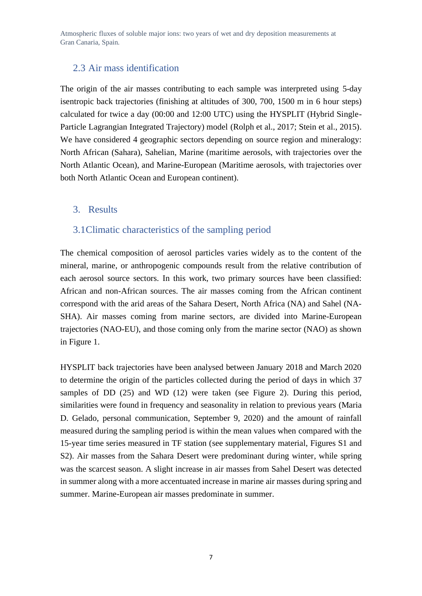## <span id="page-6-0"></span>2.3 Air mass identification

The origin of the air masses contributing to each sample was interpreted using 5-day isentropic back trajectories (finishing at altitudes of 300, 700, 1500 m in 6 hour steps) calculated for twice a day (00:00 and 12:00 UTC) using the HYSPLIT (Hybrid Single-Particle Lagrangian Integrated Trajectory) model (Rolph et al., 2017; Stein et al., 2015). We have considered 4 geographic sectors depending on source region and mineralogy: North African (Sahara), Sahelian, Marine (maritime aerosols, with trajectories over the North Atlantic Ocean), and Marine-European (Maritime aerosols, with trajectories over both North Atlantic Ocean and European continent).

#### <span id="page-6-1"></span>3. Results

#### <span id="page-6-2"></span>3.1Climatic characteristics of the sampling period

The chemical composition of aerosol particles varies widely as to the content of the mineral, marine, or anthropogenic compounds result from the relative contribution of each aerosol source sectors. In this work, two primary sources have been classified: African and non-African sources. The air masses coming from the African continent correspond with the arid areas of the Sahara Desert, North Africa (NA) and Sahel (NA-SHA). Air masses coming from marine sectors, are divided into Marine-European trajectories (NAO-EU), and those coming only from the marine sector (NAO) as shown in Figure 1.

HYSPLIT back trajectories have been analysed between January 2018 and March 2020 to determine the origin of the particles collected during the period of days in which 37 samples of DD (25) and WD (12) were taken (see Figure 2). During this period, similarities were found in frequency and seasonality in relation to previous years (Maria D. Gelado, personal communication, September 9, 2020) and the amount of rainfall measured during the sampling period is within the mean values when compared with the 15-year time series measured in TF station (see supplementary material, Figures S1 and S2). Air masses from the Sahara Desert were predominant during winter, while spring was the scarcest season. A slight increase in air masses from Sahel Desert was detected in summer along with a more accentuated increase in marine air masses during spring and summer. Marine-European air masses predominate in summer.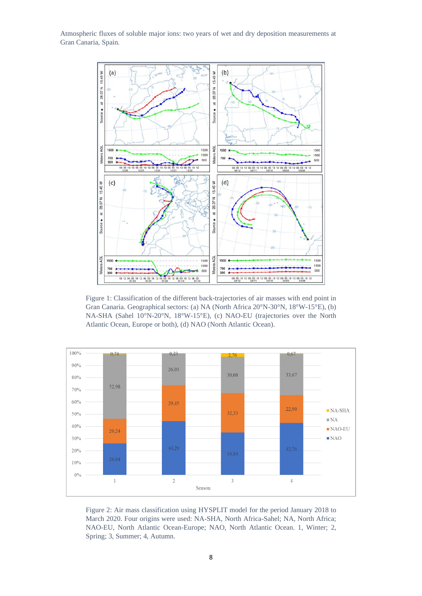

Figure 1: Classification of the different back-trajectories of air masses with end point in Gran Canaria. Geographical sectors: (a) NA (North Africa 20°N-30°N, 18°W-15°E), (b) NA-SHA (Sahel 10°N-20°N, 18°W-15°E), (c) NAO-EU (trajectories over the North Atlantic Ocean, Europe or both), (d) NAO (North Atlantic Ocean).



Figure 2: Air mass classification using HYSPLIT model for the period January 2018 to March 2020. Four origins were used: NA-SHA, North Africa-Sahel; NA, North Africa; NAO-EU, North Atlantic Ocean-Europe; NAO, North Atlantic Ocean. 1, Winter; 2, Spring; 3, Summer; 4, Autumn.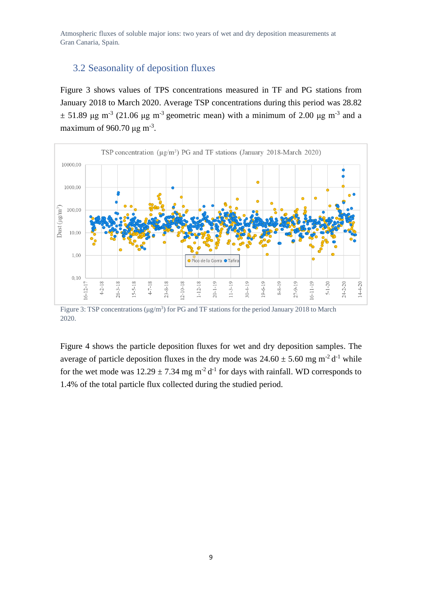## <span id="page-8-0"></span>3.2 Seasonality of deposition fluxes

Figure 3 shows values of TPS concentrations measured in TF and PG stations from January 2018 to March 2020. Average TSP concentrations during this period was 28.82  $\pm$  51.89 μg m<sup>-3</sup> (21.06 μg m<sup>-3</sup> geometric mean) with a minimum of 2.00 μg m<sup>-3</sup> and a maximum of 960.70  $\mu$ g m<sup>-3</sup>.



Figure 3: TSP concentrations ( $\mu$ g/m<sup>3</sup>) for PG and TF stations for the period January 2018 to March 2020.

Figure 4 shows the particle deposition fluxes for wet and dry deposition samples. The average of particle deposition fluxes in the dry mode was  $24.60 \pm 5.60$  mg m<sup>-2</sup> d<sup>-1</sup> while for the wet mode was  $12.29 \pm 7.34$  mg m<sup>-2</sup> d<sup>-1</sup> for days with rainfall. WD corresponds to 1.4% of the total particle flux collected during the studied period.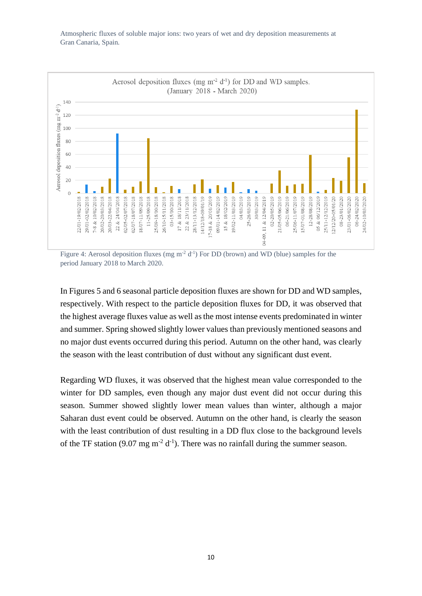

Figure 4: Aerosol deposition fluxes (mg m<sup>-2</sup> d<sup>-1</sup>) For DD (brown) and WD (blue) samples for the period January 2018 to March 2020.

In Figures 5 and 6 seasonal particle deposition fluxes are shown for DD and WD samples, respectively. With respect to the particle deposition fluxes for DD, it was observed that the highest average fluxes value as well as the most intense events predominated in winter and summer. Spring showed slightly lower values than previously mentioned seasons and no major dust events occurred during this period. Autumn on the other hand, was clearly the season with the least contribution of dust without any significant dust event.

Regarding WD fluxes, it was observed that the highest mean value corresponded to the winter for DD samples, even though any major dust event did not occur during this season. Summer showed slightly lower mean values than winter, although a major Saharan dust event could be observed. Autumn on the other hand, is clearly the season with the least contribution of dust resulting in a DD flux close to the background levels of the TF station (9.07 mg m<sup>-2</sup> d<sup>-1</sup>). There was no rainfall during the summer season.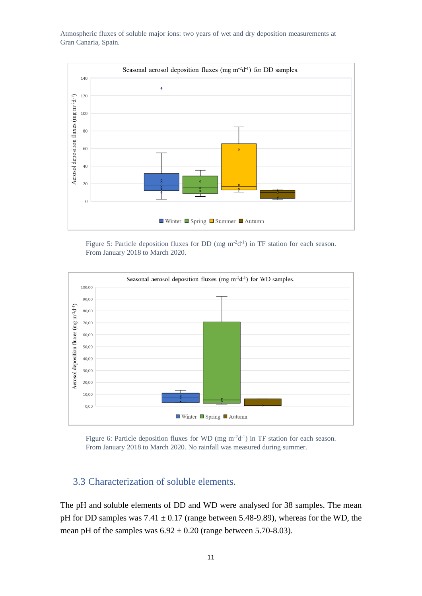

Figure 5: Particle deposition fluxes for DD (mg m<sup>-2</sup>d<sup>-1</sup>) in TF station for each season. From January 2018 to March 2020.



Figure 6: Particle deposition fluxes for WD (mg  $m^{-2}d^{-1}$ ) in TF station for each season. From January 2018 to March 2020. No rainfall was measured during summer.

## <span id="page-10-0"></span>3.3 Characterization of soluble elements.

The pH and soluble elements of DD and WD were analysed for 38 samples. The mean pH for DD samples was  $7.41 \pm 0.17$  (range between 5.48-9.89), whereas for the WD, the mean pH of the samples was  $6.92 \pm 0.20$  (range between 5.70-8.03).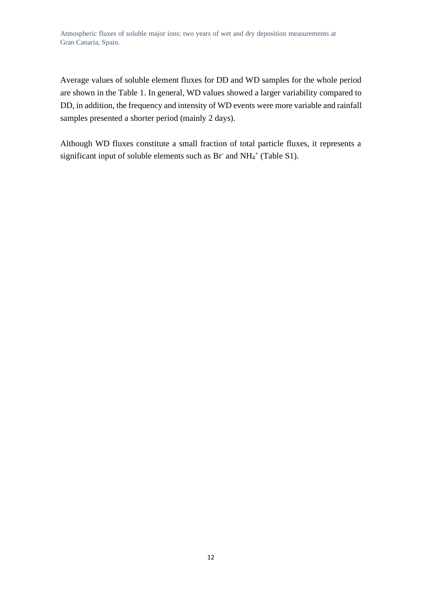Average values of soluble element fluxes for DD and WD samples for the whole period are shown in the Table 1. In general, WD values showed a larger variability compared to DD, in addition, the frequency and intensity of WD events were more variable and rainfall samples presented a shorter period (mainly 2 days).

Although WD fluxes constitute a small fraction of total particle fluxes, it represents a significant input of soluble elements such as Br and  $NH_4^+$  (Table S1).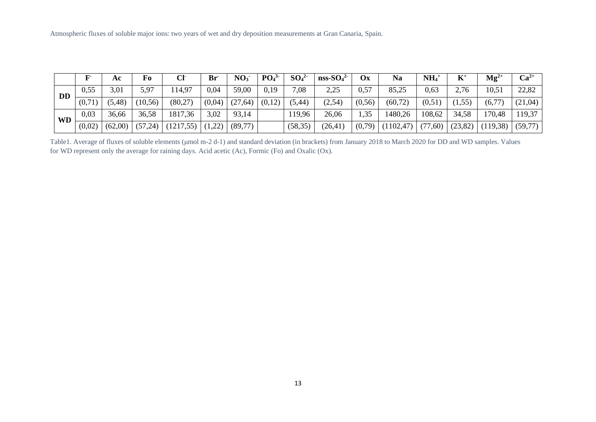|           |        | Aс      | Fo       | CF         | $Br^-$ | NO <sub>3</sub> | PO <sub>4</sub> <sup>3</sup> | SO <sub>4</sub> <sup>2</sup> | $nss-SO42$ | $\mathbf{O}$ x | <b>Na</b>  | $NH_4$   | $\mathbf{K}^*$ | $Mg^{2+}$ | $Ca2+$   |
|-----------|--------|---------|----------|------------|--------|-----------------|------------------------------|------------------------------|------------|----------------|------------|----------|----------------|-----------|----------|
| <b>DD</b> | 0,55   | 3,01    | 5,97     | 114,97     | 0,04   | 59,00           | 0,19                         | 7,08                         | 2,25       | 0,57           | 85,25      | 0,63     | 2,76           | 10,51     | 22,82    |
|           | (0,71) | (5, 48) | (10, 56) | (80,27)    | (0,04) | (27, 64)        | (0,12)                       | (5, 44)                      | (2,54)     | (0, 56)        | (60, 72)   | (0,51)   | (1, 55)        | (6,77)    | (21,04)  |
| <b>WD</b> | 0,03   | 36,66   | 36,58    | 1817,36    | 3,02   | 93,14           |                              | 119,96                       | 26,06      | 1,35           | 1480,26    | 108,62   | 34,58          | 170,48    | 119,37   |
|           | (0,02) | (62,00) | (57,24)  | (1217, 55) | (1,22) | (89,77)         |                              | (58, 35)                     | (26, 41)   | (0,79)         | (1102, 47) | (77, 60) | (23, 82)       | (119,38)  | (59, 77) |

Table1. Average of fluxes of soluble elements (μmol m-2 d-1) and standard deviation (in brackets) from January 2018 to March 2020 for DD and WD samples. Values for WD represent only the average for raining days. Acid acetic (Ac), Formic (Fo) and Oxalic (Ox).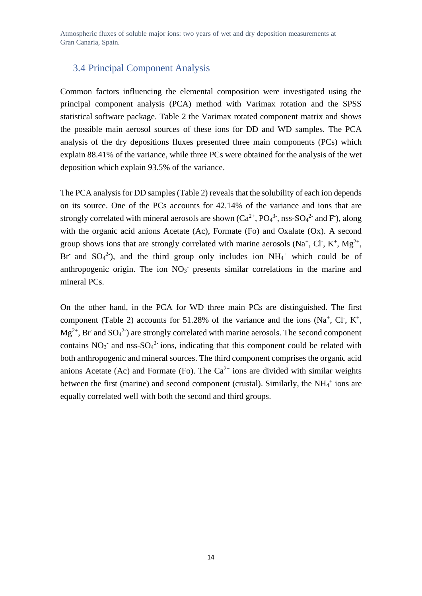## <span id="page-13-0"></span>3.4 Principal Component Analysis

Common factors influencing the elemental composition were investigated using the principal component analysis (PCA) method with Varimax rotation and the SPSS statistical software package. Table 2 the Varimax rotated component matrix and shows the possible main aerosol sources of these ions for DD and WD samples. The PCA analysis of the dry depositions fluxes presented three main components (PCs) which explain 88.41% of the variance, while three PCs were obtained for the analysis of the wet deposition which explain 93.5% of the variance.

The PCA analysis for DD samples(Table 2) reveals that the solubility of each ion depends on its source. One of the PCs accounts for 42.14% of the variance and ions that are strongly correlated with mineral aerosols are shown  $(Ca^{2+}$ ,  $PO<sub>4</sub><sup>3</sup>$ , nss-SO<sub>4</sub><sup>2</sup> and F), along with the organic acid anions Acetate (Ac), Formate (Fo) and Oxalate (Ox). A second group shows ions that are strongly correlated with marine aerosols (Na<sup>+</sup>, Cl<sup>-</sup>, K<sup>+</sup>, Mg<sup>2+</sup>, Br and  $SO_4^2$ ), and the third group only includes ion NH<sub>4</sub><sup>+</sup> which could be of anthropogenic origin. The ion  $NO<sub>3</sub>$  presents similar correlations in the marine and mineral PCs.

On the other hand, in the PCA for WD three main PCs are distinguished. The first component (Table 2) accounts for 51.28% of the variance and the ions (Na<sup>+</sup>, Cl<sup>-</sup>, K<sup>+</sup>,  $Mg^{2+}$ , Br and  $SO_4^2$ ) are strongly correlated with marine aerosols. The second component contains  $NO_3^-$  and nss- $SO_4^2$  ions, indicating that this component could be related with both anthropogenic and mineral sources. The third component comprises the organic acid anions Acetate (Ac) and Formate (Fo). The  $Ca^{2+}$  ions are divided with similar weights between the first (marine) and second component (crustal). Similarly, the NH<sub>4</sub><sup>+</sup> ions are equally correlated well with both the second and third groups.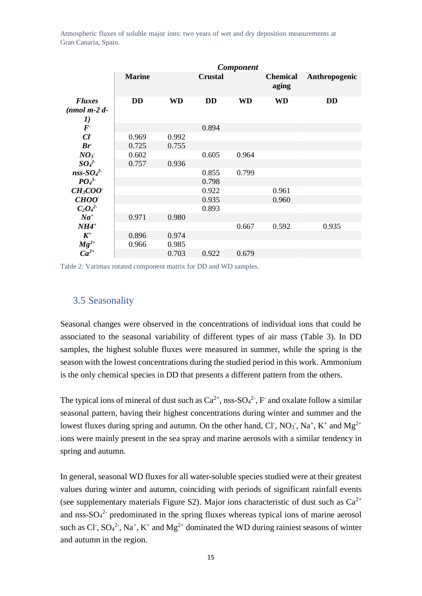|                              | Component     |           |                |           |                          |               |  |  |  |  |  |  |
|------------------------------|---------------|-----------|----------------|-----------|--------------------------|---------------|--|--|--|--|--|--|
|                              | <b>Marine</b> |           | <b>Crustal</b> |           | <b>Chemical</b><br>aging | Anthropogenic |  |  |  |  |  |  |
| <b>Fluxes</b>                | <b>DD</b>     | <b>WD</b> | <b>DD</b>      | <b>WD</b> | <b>WD</b>                | <b>DD</b>     |  |  |  |  |  |  |
| $(nmol \, m-2 \, d-$         |               |           |                |           |                          |               |  |  |  |  |  |  |
| 1)                           |               |           |                |           |                          |               |  |  |  |  |  |  |
| $\boldsymbol{F}$             |               |           | 0.894          |           |                          |               |  |  |  |  |  |  |
| $C\!I$                       | 0.969         | 0.992     |                |           |                          |               |  |  |  |  |  |  |
| Br                           | 0.725         | 0.755     |                |           |                          |               |  |  |  |  |  |  |
| NO <sub>3</sub>              | 0.602         |           | 0.605          | 0.964     |                          |               |  |  |  |  |  |  |
| SO <sub>4</sub> <sup>2</sup> | 0.757         | 0.936     |                |           |                          |               |  |  |  |  |  |  |
| $nss-SO42$                   |               |           | 0.855          | 0.799     |                          |               |  |  |  |  |  |  |
| PO <sub>4</sub> <sup>3</sup> |               |           | 0.798          |           |                          |               |  |  |  |  |  |  |
| $CH3COO+$                    |               |           | 0.922          |           | 0.961                    |               |  |  |  |  |  |  |
| <b>CHOO</b>                  |               |           | 0.935          |           | 0.960                    |               |  |  |  |  |  |  |
| $C_2O_4^2$                   |               |           | 0.893          |           |                          |               |  |  |  |  |  |  |
| $Na^{+}$                     | 0.971         | 0.980     |                |           |                          |               |  |  |  |  |  |  |
| $NH4$ <sup>+</sup>           |               |           |                | 0.667     | 0.592                    | 0.935         |  |  |  |  |  |  |
| $K^+$                        | 0.896         | 0.974     |                |           |                          |               |  |  |  |  |  |  |
| $Mg^{2+}$                    | 0.966         | 0.985     |                |           |                          |               |  |  |  |  |  |  |
| $C\overline{a}^{2+}$         |               | 0.703     | 0.922          | 0.679     |                          |               |  |  |  |  |  |  |

Table 2: Varimax rotated component matrix for DD and WD samples.

## <span id="page-14-0"></span>3.5 Seasonality

Seasonal changes were observed in the concentrations of individual ions that could be associated to the seasonal variability of different types of air mass (Table 3). In DD samples, the highest soluble fluxes were measured in summer, while the spring is the season with the lowest concentrations during the studied period in this work. Ammonium is the only chemical species in DD that presents a different pattern from the others.

The typical ions of mineral of dust such as  $Ca^{2+}$ , nss- $SO_4^2$ , F and oxalate follow a similar seasonal pattern, having their highest concentrations during winter and summer and the lowest fluxes during spring and autumn. On the other hand, Cl<sup>-</sup>, NO<sub>3</sub><sup>-</sup>, Na<sup>+</sup>, K<sup>+</sup> and Mg<sup>2+</sup> ions were mainly present in the sea spray and marine aerosols with a similar tendency in spring and autumn.

In general, seasonal WD fluxes for all water-soluble species studied were at their greatest values during winter and autumn, coinciding with periods of significant rainfall events (see supplementary materials Figure S2). Major ions characteristic of dust such as  $Ca^{2+}$ and nss- $SO_4^2$  predominated in the spring fluxes whereas typical ions of marine aerosol such as Cl<sup>-</sup>,  $SO_4^2$ <sup>-</sup>, Na<sup>+</sup>, K<sup>+</sup> and Mg<sup>2+</sup> dominated the WD during rainiest seasons of winter and autumn in the region.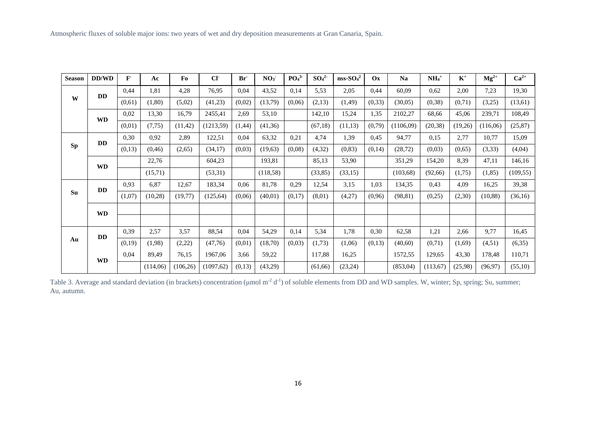| <b>Season</b> | DD/WD                  | F      | Ac       | Fo        | CI         | Br <sup>-</sup> | NO <sub>3</sub> | PO <sub>4</sub> <sup>3</sup> | SO <sub>4</sub> <sup>2</sup> | $nss-SO42$ | $\mathbf{O}$ x | Na        | $NH4+$   | $K^+$   | $Mg^{2+}$ | $Ca^{2+}$ |
|---------------|------------------------|--------|----------|-----------|------------|-----------------|-----------------|------------------------------|------------------------------|------------|----------------|-----------|----------|---------|-----------|-----------|
|               | <b>DD</b>              | 0,44   | 1,81     | 4,28      | 76,95      | 0.04            | 43,52           | 0,14                         | 5,53                         | 2,05       | 0,44           | 60,09     | 0,62     | 2,00    | 7,23      | 19,30     |
| W             |                        | (0,61) | (1, 80)  | (5,02)    | (41,23)    | (0,02)          | (13,79)         | (0,06)                       | (2,13)                       | (1, 49)    | (0, 33)        | (30,05)   | (0, 38)  | (0,71)  | (3,25)    | (13,61)   |
|               | <b>WD</b>              | 0,02   | 13,30    | 16,79     | 2455,41    | 2,69            | 53,10           |                              | 142,10                       | 15,24      | 1,35           | 2102,27   | 68,66    | 45,06   | 239,71    | 108,49    |
|               |                        | (0,01) | (7,75)   | (11, 42)  | (1213, 59) | (1, 44)         | (41,36)         |                              | (67,18)                      | (11, 13)   | (0,79)         | (1106,09) | (20, 38) | (19,26) | (116,06)  | (25, 87)  |
|               | <b>DD</b>              | 0,30   | 0,92     | 2,89      | 122,51     | 0,04            | 63,32           | 0,21                         | 4,74                         | 1,39       | 0,45           | 94,77     | 0,15     | 2,77    | 10,77     | 15,09     |
| <b>Sp</b>     |                        | (0,13) | (0, 46)  | (2,65)    | (34,17)    | (0,03)          | (19,63)         | (0,08)                       | (4,32)                       | (0, 83)    | (0,14)         | (28, 72)  | (0,03)   | (0,65)  | (3, 33)   | (4,04)    |
|               | $\mathbf{W}\mathbf{D}$ |        | 22,76    |           | 604,23     |                 | 193,81          |                              | 85,13                        | 53,90      |                | 351,29    | 154,20   | 8,39    | 47,11     | 146,16    |
|               |                        |        | (15,71)  |           | (53,31)    |                 | (118,58)        |                              | (33, 85)                     | (33,15)    |                | (103, 68) | (92, 66) | (1,75)  | (1, 85)   | (109, 55) |
|               | <b>DD</b>              | 0,93   | 6,87     | 12,67     | 183,34     | 0.06            | 81,78           | 0,29                         | 12,54                        | 3,15       | 1,03           | 134,35    | 0,43     | 4,09    | 16,25     | 39,38     |
| Su            |                        | (1,07) | (10, 28) | (19,77)   | (125, 64)  | (0,06)          | (40,01)         | (0,17)                       | (8,01)                       | (4,27)     | (0,96)         | (98, 81)  | (0,25)   | (2,30)  | (10, 88)  | (36,16)   |
|               | <b>WD</b>              |        |          |           |            |                 |                 |                              |                              |            |                |           |          |         |           |           |
|               |                        |        |          |           |            |                 |                 |                              |                              |            |                |           |          |         |           |           |
|               | <b>DD</b>              | 0.39   | 2,57     | 3,57      | 88,54      | 0.04            | 54,29           | 0,14                         | 5,34                         | 1,78       | 0,30           | 62,58     | 1,21     | 2,66    | 9,77      | 16,45     |
| Au            |                        | (0,19) | (1,98)   | (2,22)    | (47,76)    | (0,01)          | (18,70)         | (0,03)                       | (1,73)                       | (1,06)     | (0,13)         | (40,60)   | (0,71)   | (1,69)  | (4,51)    | (6,35)    |
|               |                        | 0,04   | 89,49    | 76,15     | 1967,06    | 3,66            | 59,22           |                              | 117,88                       | 16,25      |                | 1572,55   | 129,65   | 43,30   | 178,48    | 110,71    |
|               | <b>WD</b>              |        | (114,06) | (106, 26) | (1097, 62) | (0,13)          | (43,29)         |                              | (61, 66)                     | (23,24)    |                | (853,04)  | (113,67) | (25,98) | (96, 97)  | (55,10)   |

Table 3. Average and standard deviation (in brackets) concentration (µmol m<sup>-2</sup> d<sup>-1</sup>) of soluble elements from DD and WD samples. W, winter; Sp, spring; Su, summer; Au, autumn.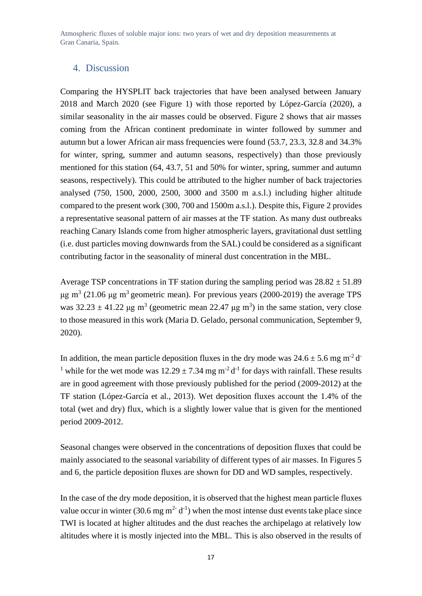#### <span id="page-16-0"></span>4. Discussion

Comparing the HYSPLIT back trajectories that have been analysed between January 2018 and March 2020 (see Figure 1) with those reported by López-García (2020), a similar seasonality in the air masses could be observed. Figure 2 shows that air masses coming from the African continent predominate in winter followed by summer and autumn but a lower African air mass frequencies were found (53.7, 23.3, 32.8 and 34.3% for winter, spring, summer and autumn seasons, respectively) than those previously mentioned for this station (64, 43.7, 51 and 50% for winter, spring, summer and autumn seasons, respectively). This could be attributed to the higher number of back trajectories analysed (750, 1500, 2000, 2500, 3000 and 3500 m a.s.l.) including higher altitude compared to the present work (300, 700 and 1500m a.s.l.). Despite this, Figure 2 provides a representative seasonal pattern of air masses at the TF station. As many dust outbreaks reaching Canary Islands come from higher atmospheric layers, gravitational dust settling (i.e. dust particles moving downwards from the SAL) could be considered as a significant contributing factor in the seasonality of mineral dust concentration in the MBL.

Average TSP concentrations in TF station during the sampling period was  $28.82 \pm 51.89$ μg m<sup>3</sup> (21.06 μg m<sup>3</sup> geometric mean). For previous years (2000-2019) the average TPS was  $32.23 \pm 41.22$  μg m<sup>3</sup> (geometric mean 22.47 μg m<sup>3</sup>) in the same station, very close to those measured in this work (Maria D. Gelado, personal communication, September 9, 2020).

In addition, the mean particle deposition fluxes in the dry mode was  $24.6 \pm 5.6$  mg m<sup>-2</sup> d<sup>-</sup> <sup>1</sup> while for the wet mode was  $12.29 \pm 7.34$  mg m<sup>-2</sup> d<sup>-1</sup> for days with rainfall. These results are in good agreement with those previously published for the period (2009-2012) at the TF station (López-García et al., 2013). Wet deposition fluxes account the 1.4% of the total (wet and dry) flux, which is a slightly lower value that is given for the mentioned period 2009-2012.

Seasonal changes were observed in the concentrations of deposition fluxes that could be mainly associated to the seasonal variability of different types of air masses. In Figures 5 and 6, the particle deposition fluxes are shown for DD and WD samples, respectively.

In the case of the dry mode deposition, it is observed that the highest mean particle fluxes value occur in winter (30.6 mg  $m^2$  d<sup>-1</sup>) when the most intense dust events take place since TWI is located at higher altitudes and the dust reaches the archipelago at relatively low altitudes where it is mostly injected into the MBL. This is also observed in the results of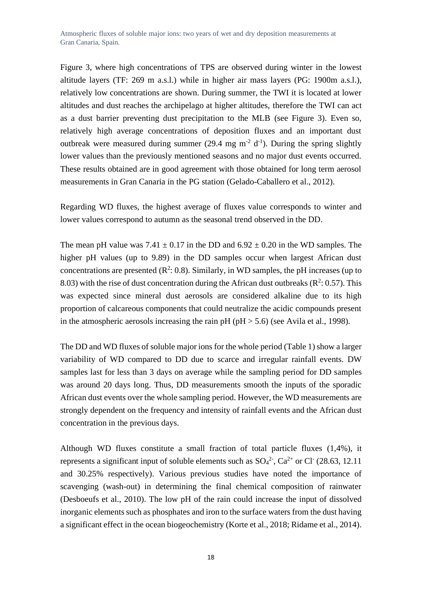Figure 3, where high concentrations of TPS are observed during winter in the lowest altitude layers (TF: 269 m a.s.l.) while in higher air mass layers (PG: 1900m a.s.l.), relatively low concentrations are shown. During summer, the TWI it is located at lower altitudes and dust reaches the archipelago at higher altitudes, therefore the TWI can act as a dust barrier preventing dust precipitation to the MLB (see Figure 3). Even so, relatively high average concentrations of deposition fluxes and an important dust outbreak were measured during summer (29.4 mg  $m^{-2}$  d<sup>-1</sup>). During the spring slightly lower values than the previously mentioned seasons and no major dust events occurred. These results obtained are in good agreement with those obtained for long term aerosol measurements in Gran Canaria in the PG station (Gelado-Caballero et al., 2012).

Regarding WD fluxes, the highest average of fluxes value corresponds to winter and lower values correspond to autumn as the seasonal trend observed in the DD.

The mean pH value was  $7.41 \pm 0.17$  in the DD and  $6.92 \pm 0.20$  in the WD samples. The higher pH values (up to 9.89) in the DD samples occur when largest African dust concentrations are presented  $(R^2: 0.8)$ . Similarly, in WD samples, the pH increases (up to 8.03) with the rise of dust concentration during the African dust outbreaks ( $\mathbb{R}^2$ : 0.57). This was expected since mineral dust aerosols are considered alkaline due to its high proportion of calcareous components that could neutralize the acidic compounds present in the atmospheric aerosols increasing the rain  $pH (pH > 5.6)$  (see Avila et al., 1998).

The DD and WD fluxes of soluble major ions for the whole period (Table 1) show a larger variability of WD compared to DD due to scarce and irregular rainfall events. DW samples last for less than 3 days on average while the sampling period for DD samples was around 20 days long. Thus, DD measurements smooth the inputs of the sporadic African dust events over the whole sampling period. However, the WD measurements are strongly dependent on the frequency and intensity of rainfall events and the African dust concentration in the previous days.

Although WD fluxes constitute a small fraction of total particle fluxes (1,4%), it represents a significant input of soluble elements such as  $SO_4^2$ ,  $Ca^{2+}$  or Cl<sup>-</sup> (28.63, 12.11) and 30.25% respectively). Various previous studies have noted the importance of scavenging (wash-out) in determining the final chemical composition of rainwater (Desboeufs et al., 2010). The low pH of the rain could increase the input of dissolved inorganic elements such as phosphates and iron to the surface waters from the dust having a significant effect in the ocean biogeochemistry (Korte et al., 2018; Ridame et al., 2014).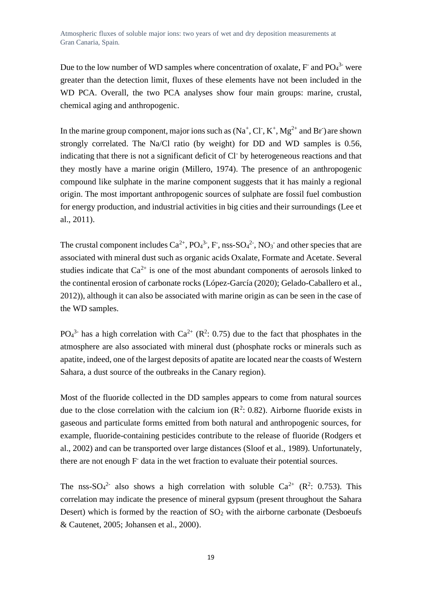Due to the low number of WD samples where concentration of oxalate,  $F$  and  $PO<sub>4</sub><sup>3</sup>$  were greater than the detection limit, fluxes of these elements have not been included in the WD PCA. Overall, the two PCA analyses show four main groups: marine, crustal, chemical aging and anthropogenic.

In the marine group component, major ions such as  $(Na^+, Cl^-, K^+, Mg^{2+}$  and Br  $)$  are shown strongly correlated. The Na/Cl ratio (by weight) for DD and WD samples is 0.56, indicating that there is not a significant deficit of Cl-by heterogeneous reactions and that they mostly have a marine origin (Millero, 1974). The presence of an anthropogenic compound like sulphate in the marine component suggests that it has mainly a regional origin. The most important anthropogenic sources of sulphate are fossil fuel combustion for energy production, and industrial activities in big cities and their surroundings (Lee et al., 2011).

The crustal component includes  $Ca^{2+}$ ,  $PO_4^{3-}$ ,  $F$ , nss- $SO_4^{2-}$ ,  $NO_3^-$  and other species that are associated with mineral dust such as organic acids Oxalate, Formate and Acetate. Several studies indicate that  $Ca^{2+}$  is one of the most abundant components of aerosols linked to the continental erosion of carbonate rocks (López-García (2020); Gelado-Caballero et al., 2012)), although it can also be associated with marine origin as can be seen in the case of the WD samples.

 $PO<sub>4</sub><sup>3</sup>$  has a high correlation with  $Ca<sup>2+</sup> (R<sup>2</sup>: 0.75)$  due to the fact that phosphates in the atmosphere are also associated with mineral dust (phosphate rocks or minerals such as apatite, indeed, one of the largest deposits of apatite are located near the coasts of Western Sahara, a dust source of the outbreaks in the Canary region).

Most of the fluoride collected in the DD samples appears to come from natural sources due to the close correlation with the calcium ion  $(R^2: 0.82)$ . Airborne fluoride exists in gaseous and particulate forms emitted from both natural and anthropogenic sources, for example, fluoride-containing pesticides contribute to the release of fluoride (Rodgers et al., 2002) and can be transported over large distances (Sloof et al., 1989). Unfortunately, there are not enough F data in the wet fraction to evaluate their potential sources.

The nss-SO<sub>4</sub><sup>2</sup> also shows a high correlation with soluble Ca<sup>2+</sup> (R<sup>2</sup>: 0.753). This correlation may indicate the presence of mineral gypsum (present throughout the Sahara Desert) which is formed by the reaction of  $SO<sub>2</sub>$  with the airborne carbonate (Desboeufs & Cautenet, 2005; Johansen et al., 2000).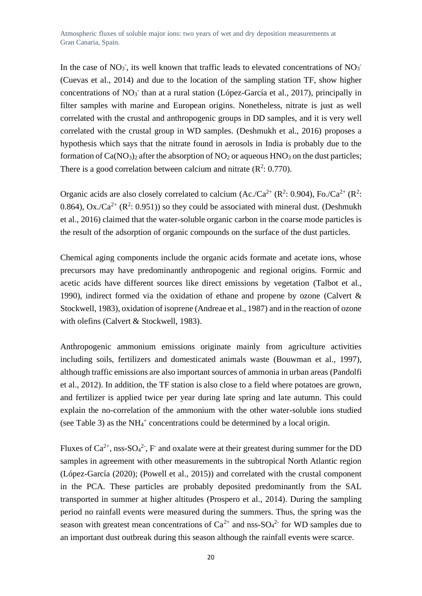In the case of  $NO_3$ , its well known that traffic leads to elevated concentrations of  $NO_3$ (Cuevas et al., 2014) and due to the location of the sampling station TF, show higher concentrations of NO<sub>3</sub> than at a rural station (López-García et al., 2017), principally in filter samples with marine and European origins. Nonetheless, nitrate is just as well correlated with the crustal and anthropogenic groups in DD samples, and it is very well correlated with the crustal group in WD samples. (Deshmukh et al., 2016) proposes a hypothesis which says that the nitrate found in aerosols in India is probably due to the formation of  $Ca(NO<sub>3</sub>)<sub>2</sub>$  after the absorption of  $NO<sub>2</sub>$  or aqueous  $HNO<sub>3</sub>$  on the dust particles; There is a good correlation between calcium and nitrate  $(R^2: 0.770)$ .

Organic acids are also closely correlated to calcium  $(Ac./Ca^{2+} (R^2: 0.904), Fo./Ca^{2+} (R^2: 0.904))$ 0.864), Ox./Ca<sup>2+</sup> ( $\mathbb{R}^2$ : 0.951)) so they could be associated with mineral dust. (Deshmukh et al., 2016) claimed that the water-soluble organic carbon in the coarse mode particles is the result of the adsorption of organic compounds on the surface of the dust particles.

Chemical aging components include the organic acids formate and acetate ions, whose precursors may have predominantly anthropogenic and regional origins. Formic and acetic acids have different sources like direct emissions by vegetation (Talbot et al., 1990), indirect formed via the oxidation of ethane and propene by ozone (Calvert & Stockwell, 1983), oxidation of isoprene (Andreae et al., 1987) and in the reaction of ozone with olefins (Calvert & Stockwell, 1983).

Anthropogenic ammonium emissions originate mainly from agriculture activities including soils, fertilizers and domesticated animals waste (Bouwman et al., 1997), although traffic emissions are also important sources of ammonia in urban areas (Pandolfi et al., 2012). In addition, the TF station is also close to a field where potatoes are grown, and fertilizer is applied twice per year during late spring and late autumn. This could explain the no-correlation of the ammonium with the other water-soluble ions studied (see Table 3) as the  $NH_4^+$  concentrations could be determined by a local origin.

Fluxes of  $Ca^{2+}$ , nss-SO<sub>4</sub><sup>2</sup>, F and oxalate were at their greatest during summer for the DD samples in agreement with other measurements in the subtropical North Atlantic region (López-García (2020); (Powell et al., 2015)) and correlated with the crustal component in the PCA. These particles are probably deposited predominantly from the SAL transported in summer at higher altitudes (Prospero et al., 2014). During the sampling period no rainfall events were measured during the summers. Thus, the spring was the season with greatest mean concentrations of  $Ca^{2+}$  and nss-SO<sub>4</sub><sup>2</sup> for WD samples due to an important dust outbreak during this season although the rainfall events were scarce.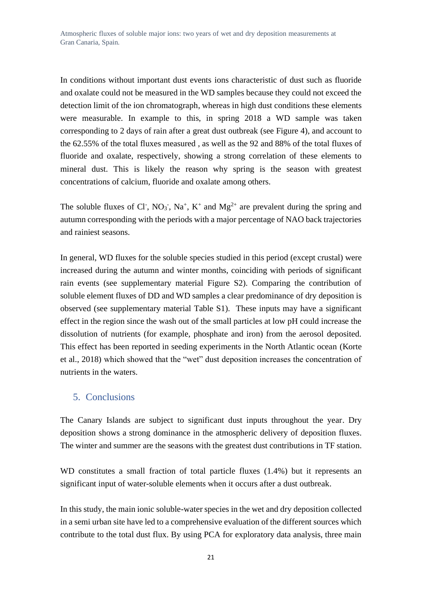In conditions without important dust events ions characteristic of dust such as fluoride and oxalate could not be measured in the WD samples because they could not exceed the detection limit of the ion chromatograph, whereas in high dust conditions these elements were measurable. In example to this, in spring 2018 a WD sample was taken corresponding to 2 days of rain after a great dust outbreak (see Figure 4), and account to the 62.55% of the total fluxes measured , as well as the 92 and 88% of the total fluxes of fluoride and oxalate, respectively, showing a strong correlation of these elements to mineral dust. This is likely the reason why spring is the season with greatest concentrations of calcium, fluoride and oxalate among others.

The soluble fluxes of Cl<sup>-</sup>, NO<sub>3</sub><sup>-</sup>, Na<sup>+</sup>, K<sup>+</sup> and Mg<sup>2+</sup> are prevalent during the spring and autumn corresponding with the periods with a major percentage of NAO back trajectories and rainiest seasons.

In general, WD fluxes for the soluble species studied in this period (except crustal) were increased during the autumn and winter months, coinciding with periods of significant rain events (see supplementary material Figure S2). Comparing the contribution of soluble element fluxes of DD and WD samples a clear predominance of dry deposition is observed (see supplementary material Table S1). These inputs may have a significant effect in the region since the wash out of the small particles at low pH could increase the dissolution of nutrients (for example, phosphate and iron) from the aerosol deposited. This effect has been reported in seeding experiments in the North Atlantic ocean (Korte et al., 2018) which showed that the "wet" dust deposition increases the concentration of nutrients in the waters.

#### <span id="page-20-0"></span>5. Conclusions

The Canary Islands are subject to significant dust inputs throughout the year. Dry deposition shows a strong dominance in the atmospheric delivery of deposition fluxes. The winter and summer are the seasons with the greatest dust contributions in TF station.

WD constitutes a small fraction of total particle fluxes (1.4%) but it represents an significant input of water-soluble elements when it occurs after a dust outbreak.

In this study, the main ionic soluble-water species in the wet and dry deposition collected in a semi urban site have led to a comprehensive evaluation of the different sources which contribute to the total dust flux. By using PCA for exploratory data analysis, three main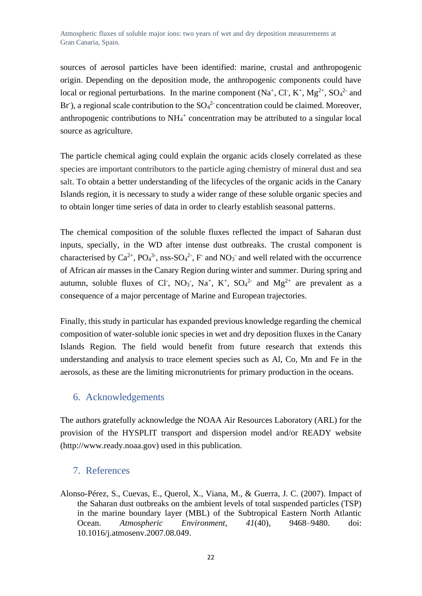sources of aerosol particles have been identified: marine, crustal and anthropogenic origin. Depending on the deposition mode, the anthropogenic components could have local or regional perturbations. In the marine component  $(Na^+, Cl, K^+, Mg^{2+}, SO_4^{2-}$  and Br'), a regional scale contribution to the  $SO_4^2$  concentration could be claimed. Moreover, anthropogenic contributions to  $NH<sub>4</sub><sup>+</sup>$  concentration may be attributed to a singular local source as agriculture.

The particle chemical aging could explain the organic acids closely correlated as these species are important contributors to the particle aging chemistry of mineral dust and sea salt. To obtain a better understanding of the lifecycles of the organic acids in the Canary Islands region, it is necessary to study a wider range of these soluble organic species and to obtain longer time series of data in order to clearly establish seasonal patterns.

The chemical composition of the soluble fluxes reflected the impact of Saharan dust inputs, specially, in the WD after intense dust outbreaks. The crustal component is characterised by  $Ca^{2+}$ , PO<sub>4</sub><sup>3-</sup>, nss-SO<sub>4</sub><sup>2-</sup>, F<sup>-</sup> and NO<sub>3</sub><sup>-</sup> and well related with the occurrence of African air masses in the Canary Region during winter and summer. During spring and autumn, soluble fluxes of Cl<sup>-</sup>, NO<sub>3</sub><sup>-</sup>, Na<sup>+</sup>, K<sup>+</sup>, SO<sub>4</sub><sup>2-</sup> and Mg<sup>2+</sup> are prevalent as a consequence of a major percentage of Marine and European trajectories.

Finally, this study in particular has expanded previous knowledge regarding the chemical composition of water-soluble ionic species in wet and dry deposition fluxes in the Canary Islands Region. The field would benefit from future research that extends this understanding and analysis to trace element species such as Al, Co, Mn and Fe in the aerosols, as these are the limiting micronutrients for primary production in the oceans.

## <span id="page-21-0"></span>6. Acknowledgements

The authors gratefully acknowledge the NOAA Air Resources Laboratory (ARL) for the provision of the HYSPLIT transport and dispersion model and/or READY website (http://www.ready.noaa.gov) used in this publication.

## <span id="page-21-1"></span>7. References

Alonso-Pérez, S., Cuevas, E., Querol, X., Viana, M., & Guerra, J. C. (2007). Impact of the Saharan dust outbreaks on the ambient levels of total suspended particles (TSP) in the marine boundary layer (MBL) of the Subtropical Eastern North Atlantic Ocean. *Atmospheric Environment*, *41*(40), 9468–9480. doi: 10.1016/j.atmosenv.2007.08.049.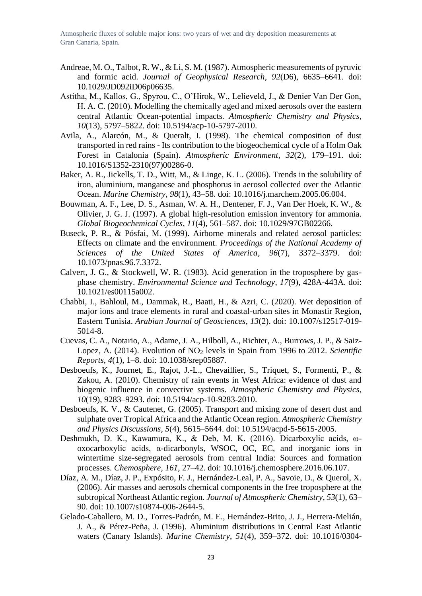- Andreae, M. O., Talbot, R. W., & Li, S. M. (1987). Atmospheric measurements of pyruvic and formic acid. *Journal of Geophysical Research*, *92*(D6), 6635–6641. doi: 10.1029/JD092iD06p06635.
- Astitha, M., Kallos, G., Spyrou, C., O'Hirok, W., Lelieveld, J., & Denier Van Der Gon, H. A. C. (2010). Modelling the chemically aged and mixed aerosols over the eastern central Atlantic Ocean-potential impacts. *Atmospheric Chemistry and Physics*, *10*(13), 5797–5822. doi: 10.5194/acp-10-5797-2010.
- Avila, A., Alarcón, M., & Queralt, I. (1998). The chemical composition of dust transported in red rains - Its contribution to the biogeochemical cycle of a Holm Oak Forest in Catalonia (Spain). *Atmospheric Environment*, *32*(2), 179–191. doi: 10.1016/S1352-2310(97)00286-0.
- Baker, A. R., Jickells, T. D., Witt, M., & Linge, K. L. (2006). Trends in the solubility of iron, aluminium, manganese and phosphorus in aerosol collected over the Atlantic Ocean. *Marine Chemistry*, *98*(1), 43–58. doi: 10.1016/j.marchem.2005.06.004.
- Bouwman, A. F., Lee, D. S., Asman, W. A. H., Dentener, F. J., Van Der Hoek, K. W., & Olivier, J. G. J. (1997). A global high-resolution emission inventory for ammonia. *Global Biogeochemical Cycles*, *11*(4), 561–587. doi: 10.1029/97GB02266.
- Buseck, P. R., & Pósfai, M. (1999). Airborne minerals and related aerosol particles: Effects on climate and the environment. *Proceedings of the National Academy of Sciences of the United States of America*, *96*(7), 3372–3379. doi: 10.1073/pnas.96.7.3372.
- Calvert, J. G., & Stockwell, W. R. (1983). Acid generation in the troposphere by gasphase chemistry. *Environmental Science and Technology*, *17*(9), 428A-443A. doi: 10.1021/es00115a002.
- Chabbi, I., Bahloul, M., Dammak, R., Baati, H., & Azri, C. (2020). Wet deposition of major ions and trace elements in rural and coastal-urban sites in Monastir Region, Eastern Tunisia. *Arabian Journal of Geosciences*, *13*(2). doi: 10.1007/s12517-019- 5014-8.
- Cuevas, C. A., Notario, A., Adame, J. A., Hilboll, A., Richter, A., Burrows, J. P., & Saiz-Lopez, A. (2014). Evolution of NO<sub>2</sub> levels in Spain from 1996 to 2012. *Scientific Reports*, *4*(1), 1–8. doi: 10.1038/srep05887.
- Desboeufs, K., Journet, E., Rajot, J.-L., Chevaillier, S., Triquet, S., Formenti, P., & Zakou, A. (2010). Chemistry of rain events in West Africa: evidence of dust and biogenic influence in convective systems. *Atmospheric Chemistry and Physics*, *10*(19), 9283–9293. doi: 10.5194/acp-10-9283-2010.
- Desboeufs, K. V., & Cautenet, G. (2005). Transport and mixing zone of desert dust and sulphate over Tropical Africa and the Atlantic Ocean region. *Atmospheric Chemistry and Physics Discussions*, *5*(4), 5615–5644. doi: 10.5194/acpd-5-5615-2005.
- Deshmukh, D. K., Kawamura, K., & Deb, M. K. (2016). Dicarboxylic acids, ωoxocarboxylic acids, α-dicarbonyls, WSOC, OC, EC, and inorganic ions in wintertime size-segregated aerosols from central India: Sources and formation processes. *Chemosphere*, *161*, 27–42. doi: 10.1016/j.chemosphere.2016.06.107.
- Díaz, A. M., Díaz, J. P., Expósito, F. J., Hernández-Leal, P. A., Savoie, D., & Querol, X. (2006). Air masses and aerosols chemical components in the free troposphere at the subtropical Northeast Atlantic region. *Journal of Atmospheric Chemistry*, *53*(1), 63– 90. doi: 10.1007/s10874-006-2644-5.
- Gelado-Caballero, M. D., Torres-Padrón, M. E., Hernández-Brito, J. J., Herrera-Melián, J. A., & Pérez-Peña, J. (1996). Aluminium distributions in Central East Atlantic waters (Canary Islands). *Marine Chemistry*, *51*(4), 359–372. doi: 10.1016/0304-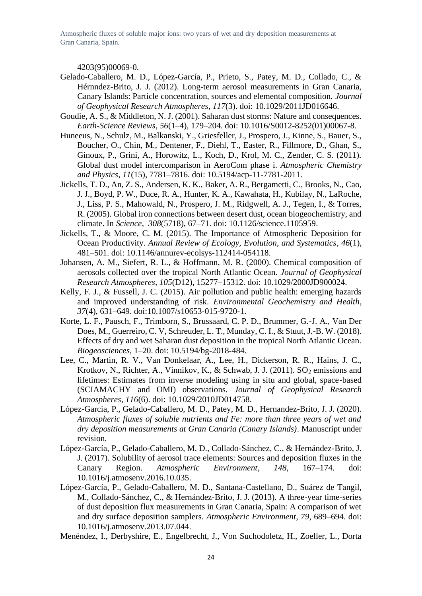4203(95)00069-0.

- Gelado-Caballero, M. D., López-García, P., Prieto, S., Patey, M. D., Collado, C., & Hérnndez-Brito, J. J. (2012). Long-term aerosol measurements in Gran Canaria, Canary Islands: Particle concentration, sources and elemental composition. *Journal of Geophysical Research Atmospheres*, *117*(3). doi: 10.1029/2011JD016646.
- Goudie, A. S., & Middleton, N. J. (2001). Saharan dust storms: Nature and consequences. *Earth-Science Reviews*, *56*(1–4), 179–204. doi: 10.1016/S0012-8252(01)00067-8.
- Huneeus, N., Schulz, M., Balkanski, Y., Griesfeller, J., Prospero, J., Kinne, S., Bauer, S., Boucher, O., Chin, M., Dentener, F., Diehl, T., Easter, R., Fillmore, D., Ghan, S., Ginoux, P., Grini, A., Horowitz, L., Koch, D., Krol, M. C., Zender, C. S. (2011). Global dust model intercomparison in AeroCom phase i. *Atmospheric Chemistry and Physics*, *11*(15), 7781–7816. doi: 10.5194/acp-11-7781-2011.
- Jickells, T. D., An, Z. S., Andersen, K. K., Baker, A. R., Bergametti, C., Brooks, N., Cao, J. J., Boyd, P. W., Duce, R. A., Hunter, K. A., Kawahata, H., Kubilay, N., LaRoche, J., Liss, P. S., Mahowald, N., Prospero, J. M., Ridgwell, A. J., Tegen, I., & Torres, R. (2005). Global iron connections between desert dust, ocean biogeochemistry, and climate. In *Science*, *308*(5718), 67–71. doi: 10.1126/science.1105959.
- Jickells, T., & Moore, C. M. (2015). The Importance of Atmospheric Deposition for Ocean Productivity. *Annual Review of Ecology, Evolution, and Systematics*, *46*(1), 481–501. doi: 10.1146/annurev-ecolsys-112414-054118.
- Johansen, A. M., Siefert, R. L., & Hoffmann, M. R. (2000). Chemical composition of aerosols collected over the tropical North Atlantic Ocean. *Journal of Geophysical Research Atmospheres*, *105*(D12), 15277–15312. doi: 10.1029/2000JD900024.
- Kelly, F. J., & Fussell, J. C. (2015). Air pollution and public health: emerging hazards and improved understanding of risk. *Environmental Geochemistry and Health*, *37*(4), 631–649. doi:10.1007/s10653-015-9720-1.
- Korte, L. F., Pausch, F., Trimborn, S., Brussaard, C. P. D., Brummer, G.-J. A., Van Der Does, M., Guerreiro, C. V, Schreuder, L. T., Munday, C. I., & Stuut, J.-B. W. (2018). Effects of dry and wet Saharan dust deposition in the tropical North Atlantic Ocean. *Biogeosciences*, 1–20. doi: 10.5194/bg-2018-484.
- Lee, C., Martin, R. V., Van Donkelaar, A., Lee, H., Dickerson, R. R., Hains, J. C., Krotkov, N., Richter, A., Vinnikov, K., & Schwab, J. J. (2011).  $SO_2$  emissions and lifetimes: Estimates from inverse modeling using in situ and global, space-based (SCIAMACHY and OMI) observations. *Journal of Geophysical Research Atmospheres*, *116*(6). doi: 10.1029/2010JD014758.
- López-García, P., Gelado-Caballero, M. D., Patey, M. D., Hernandez-Brito, J. J. (2020). *Atmospheric fluxes of soluble nutrients and Fe: more than three years of wet and dry deposition measurements at Gran Canaria (Canary Islands)*. Manuscript under revision.
- López-García, P., Gelado-Caballero, M. D., Collado-Sánchez, C., & Hernández-Brito, J. J. (2017). Solubility of aerosol trace elements: Sources and deposition fluxes in the Canary Region. *Atmospheric Environment*, *148*, 167–174. doi: 10.1016/j.atmosenv.2016.10.035.
- López-García, P., Gelado-Caballero, M. D., Santana-Castellano, D., Suárez de Tangil, M., Collado-Sánchez, C., & Hernández-Brito, J. J. (2013). A three-year time-series of dust deposition flux measurements in Gran Canaria, Spain: A comparison of wet and dry surface deposition samplers. *Atmospheric Environment*, *79*, 689–694. doi: 10.1016/j.atmosenv.2013.07.044.

Menéndez, I., Derbyshire, E., Engelbrecht, J., Von Suchodoletz, H., Zoeller, L., Dorta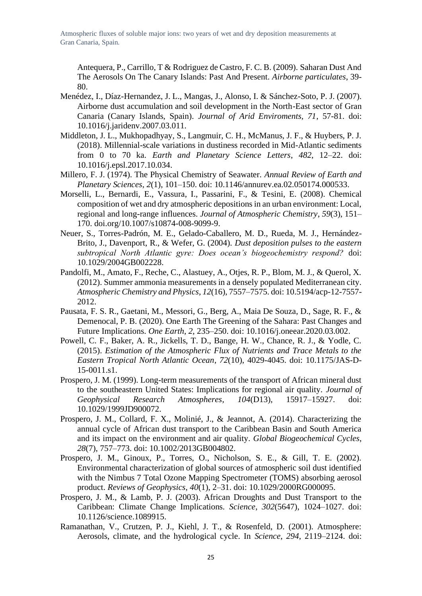Antequera, P., Carrillo, T & Rodriguez de Castro, F. C. B. (2009). Saharan Dust And The Aerosols On The Canary Islands: Past And Present. *Airborne particulates*, 39- 80.

- Menédez, I., Díaz-Hernandez, J. L., Mangas, J., Alonso, I. & Sánchez-Soto, P. J. (2007). Airborne dust accumulation and soil development in the North-East sector of Gran Canaria (Canary Islands, Spain). *Journal of Arid Enviroments, 71*, 57-81. doi: 10.1016/j.jaridenv.2007.03.011.
- Middleton, J. L., Mukhopadhyay, S., Langmuir, C. H., McManus, J. F., & Huybers, P. J. (2018). Millennial-scale variations in dustiness recorded in Mid-Atlantic sediments from 0 to 70 ka. *Earth and Planetary Science Letters*, *482*, 12–22. doi: 10.1016/j.epsl.2017.10.034.
- Millero, F. J. (1974). The Physical Chemistry of Seawater. *Annual Review of Earth and Planetary Sciences*, *2*(1), 101–150. doi: 10.1146/annurev.ea.02.050174.000533.
- Morselli, L., Bernardi, E., Vassura, I., Passarini, F., & Tesini, E. (2008). Chemical composition of wet and dry atmospheric depositions in an urban environment: Local, regional and long-range influences. *Journal of Atmospheric Chemistry*, *59*(3), 151– 170. doi.org/10.1007/s10874-008-9099-9.
- Neuer, S., Torres-Padrón, M. E., Gelado-Caballero, M. D., Rueda, M. J., Hernández-Brito, J., Davenport, R., & Wefer, G. (2004). *Dust deposition pulses to the eastern subtropical North Atlantic gyre: Does ocean's biogeochemistry respond?* doi: 10.1029/2004GB002228.
- Pandolfi, M., Amato, F., Reche, C., Alastuey, A., Otjes, R. P., Blom, M. J., & Querol, X. (2012). Summer ammonia measurements in a densely populated Mediterranean city. *Atmospheric Chemistry and Physics*, *12*(16), 7557–7575. doi: 10.5194/acp-12-7557- 2012.
- Pausata, F. S. R., Gaetani, M., Messori, G., Berg, A., Maia De Souza, D., Sage, R. F., & Demenocal, P. B. (2020). One Earth The Greening of the Sahara: Past Changes and Future Implications. *One Earth*, *2*, 235–250. doi: 10.1016/j.oneear.2020.03.002.
- Powell, C. F., Baker, A. R., Jickells, T. D., Bange, H. W., Chance, R. J., & Yodle, C. (2015). *Estimation of the Atmospheric Flux of Nutrients and Trace Metals to the Eastern Tropical North Atlantic Ocean*, *72*(10), 4029-4045. doi: 10.1175/JAS-D-15-0011.s1.
- Prospero, J. M. (1999). Long-term measurements of the transport of African mineral dust to the southeastern United States: Implications for regional air quality. *Journal of Geophysical Research Atmospheres*, *104*(D13), 15917–15927. doi: 10.1029/1999JD900072.
- Prospero, J. M., Collard, F. X., Molinié, J., & Jeannot, A. (2014). Characterizing the annual cycle of African dust transport to the Caribbean Basin and South America and its impact on the environment and air quality. *Global Biogeochemical Cycles*, *28*(7), 757–773. doi: 10.1002/2013GB004802.
- Prospero, J. M., Ginoux, P., Torres, O., Nicholson, S. E., & Gill, T. E. (2002). Environmental characterization of global sources of atmospheric soil dust identified with the Nimbus 7 Total Ozone Mapping Spectrometer (TOMS) absorbing aerosol product. *Reviews of Geophysics*, *40*(1), 2–31. doi: 10.1029/2000RG000095.
- Prospero, J. M., & Lamb, P. J. (2003). African Droughts and Dust Transport to the Caribbean: Climate Change Implications. *Science*, *302*(5647), 1024–1027. doi: 10.1126/science.1089915.
- Ramanathan, V., Crutzen, P. J., Kiehl, J. T., & Rosenfeld, D. (2001). Atmosphere: Aerosols, climate, and the hydrological cycle. In *Science*, *294*, 2119–2124. doi: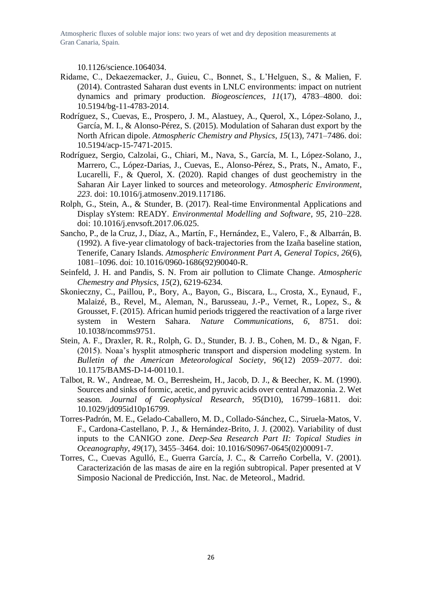10.1126/science.1064034.

- Ridame, C., Dekaezemacker, J., Guieu, C., Bonnet, S., L'Helguen, S., & Malien, F. (2014). Contrasted Saharan dust events in LNLC environments: impact on nutrient dynamics and primary production. *Biogeosciences*, *11*(17), 4783–4800. doi: 10.5194/bg-11-4783-2014.
- Rodríguez, S., Cuevas, E., Prospero, J. M., Alastuey, A., Querol, X., López-Solano, J., García, M. I., & Alonso-Pérez, S. (2015). Modulation of Saharan dust export by the North African dipole. *Atmospheric Chemistry and Physics*, *15*(13), 7471–7486. doi: 10.5194/acp-15-7471-2015.
- Rodríguez, Sergio, Calzolai, G., Chiari, M., Nava, S., García, M. I., López-Solano, J., Marrero, C., López-Darias, J., Cuevas, E., Alonso-Pérez, S., Prats, N., Amato, F., Lucarelli, F., & Querol, X. (2020). Rapid changes of dust geochemistry in the Saharan Air Layer linked to sources and meteorology. *Atmospheric Environment*, *223*. doi: 10.1016/j.atmosenv.2019.117186.
- Rolph, G., Stein, A., & Stunder, B. (2017). Real-time Environmental Applications and Display sYstem: READY. *Environmental Modelling and Software*, *95*, 210–228. doi: 10.1016/j.envsoft.2017.06.025.
- Sancho, P., de la Cruz, J., Díaz, A., Martín, F., Hernández, E., Valero, F., & Albarrán, B. (1992). A five-year climatology of back-trajectories from the Izaña baseline station, Tenerife, Canary Islands. *Atmospheric Environment Part A, General Topics*, *26*(6), 1081–1096. doi: 10.1016/0960-1686(92)90040-R.
- Seinfeld, J. H. and Pandis, S. N. From air pollution to Climate Change. *Atmospheric Chemestry and Physics, 15*(2), 6219-6234.
- Skonieczny, C., Paillou, P., Bory, A., Bayon, G., Biscara, L., Crosta, X., Eynaud, F., Malaizé, B., Revel, M., Aleman, N., Barusseau, J.-P., Vernet, R., Lopez, S., & Grousset, F. (2015). African humid periods triggered the reactivation of a large river system in Western Sahara. *Nature Communications*, *6*, 8751. doi: 10.1038/ncomms9751.
- Stein, A. F., Draxler, R. R., Rolph, G. D., Stunder, B. J. B., Cohen, M. D., & Ngan, F. (2015). Noaa's hysplit atmospheric transport and dispersion modeling system. In *Bulletin of the American Meteorological Society*, *96*(12) 2059–2077. doi: 10.1175/BAMS-D-14-00110.1.
- Talbot, R. W., Andreae, M. O., Berresheim, H., Jacob, D. J., & Beecher, K. M. (1990). Sources and sinks of formic, acetic, and pyruvic acids over central Amazonia. 2. Wet season. *Journal of Geophysical Research*, *95*(D10), 16799–16811. doi: 10.1029/jd095id10p16799.
- Torres-Padrón, M. E., Gelado-Caballero, M. D., Collado-Sánchez, C., Siruela-Matos, V. F., Cardona-Castellano, P. J., & Hernández-Brito, J. J. (2002). Variability of dust inputs to the CANIGO zone. *Deep-Sea Research Part II: Topical Studies in Oceanography*, *49*(17), 3455–3464. doi: 10.1016/S0967-0645(02)00091-7.
- Torres, C., Cuevas Agulló, E., Guerra García, J. C., & Carreño Corbella, V. (2001). Caracterización de las masas de aire en la región subtropical. Paper presented at V Simposio Nacional de Predicción, Inst. Nac. de Meteorol., Madrid.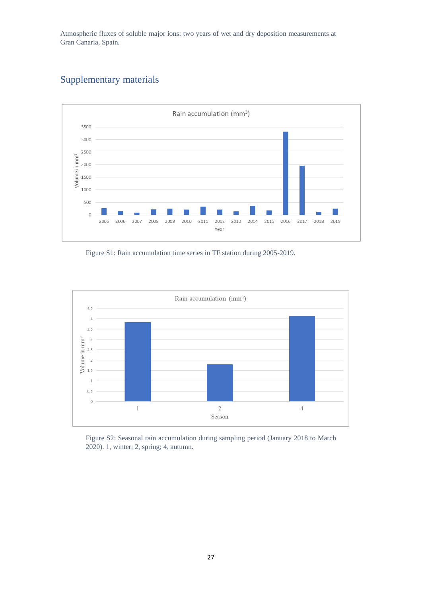

## <span id="page-26-0"></span>Supplementary materials

Figure S1: Rain accumulation time series in TF station during 2005-2019.



Figure S2: Seasonal rain accumulation during sampling period (January 2018 to March 2020). 1, winter; 2, spring; 4, autumn.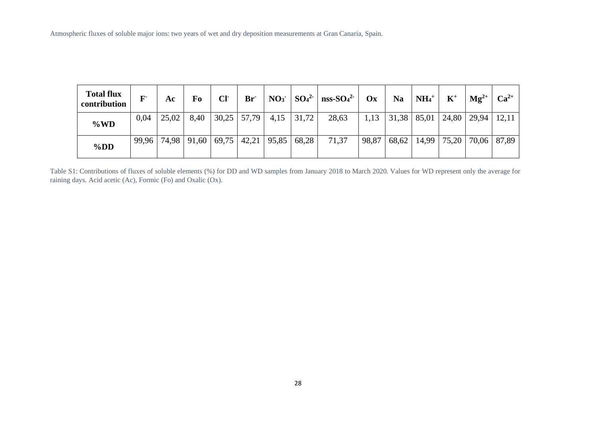| <b>Total flux</b><br>contribution | $\mathbf{F}$ | Ac    | Fo    | Cl <sub>1</sub> | $Br^-$                  | NO <sub>3</sub> |       | $SO_4^2$   nss- $SO_4^2$ | $\mathbf{O} \mathbf{x}$ | <b>Na</b> | $\mid$ NH <sub>4</sub> <sup>+</sup> | $K^+$ | $\mathbf{Mg}^{2+}$ | $Ca^{2+}$ |
|-----------------------------------|--------------|-------|-------|-----------------|-------------------------|-----------------|-------|--------------------------|-------------------------|-----------|-------------------------------------|-------|--------------------|-----------|
| $\%WD$                            | 0,04         | 25,02 | 8,40  |                 | $30,25$ 57,79           | 4,15            | 31,72 | 28,63                    | 1,13                    |           | $31,38$   85,01                     | 24,80 | 29,94              | 12,11     |
| $\%DD$                            | 99.96        | 74,98 | 91,60 |                 | $69,75$   42,21   95,85 |                 | 68,28 | 71,37                    | 98,87                   | 68,62     | 14,99                               | 75,20 | 70,06              | 87,89     |

Table S1: Contributions of fluxes of soluble elements (%) for DD and WD samples from January 2018 to March 2020. Values for WD represent only the average for raining days. Acid acetic (Ac), Formic (Fo) and Oxalic (Ox).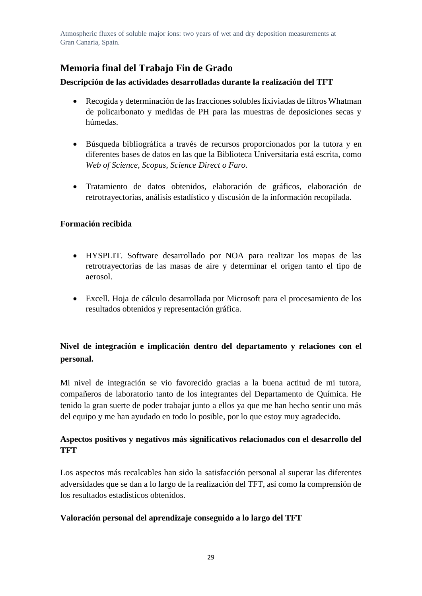## **Memoria final del Trabajo Fin de Grado**

### **Descripción de las actividades desarrolladas durante la realización del TFT**

- Recogida y determinación de las fracciones solubles lixiviadas de filtros Whatman de policarbonato y medidas de PH para las muestras de deposiciones secas y húmedas.
- Búsqueda bibliográfica a través de recursos proporcionados por la tutora y en diferentes bases de datos en las que la Biblioteca Universitaria está escrita, como *Web of Science, Scopus, Science Direct o Faro.*
- Tratamiento de datos obtenidos, elaboración de gráficos, elaboración de retrotrayectorias, análisis estadístico y discusión de la información recopilada.

### **Formación recibida**

- HYSPLIT. Software desarrollado por NOA para realizar los mapas de las retrotrayectorias de las masas de aire y determinar el origen tanto el tipo de aerosol.
- Excell. Hoja de cálculo desarrollada por Microsoft para el procesamiento de los resultados obtenidos y representación gráfica.

## **Nivel de integración e implicación dentro del departamento y relaciones con el personal.**

Mi nivel de integración se vio favorecido gracias a la buena actitud de mi tutora, compañeros de laboratorio tanto de los integrantes del Departamento de Química. He tenido la gran suerte de poder trabajar junto a ellos ya que me han hecho sentir uno más del equipo y me han ayudado en todo lo posible, por lo que estoy muy agradecido.

## **Aspectos positivos y negativos más significativos relacionados con el desarrollo del TFT**

Los aspectos más recalcables han sido la satisfacción personal al superar las diferentes adversidades que se dan a lo largo de la realización del TFT, así como la comprensión de los resultados estadísticos obtenidos.

## **Valoración personal del aprendizaje conseguido a lo largo del TFT**